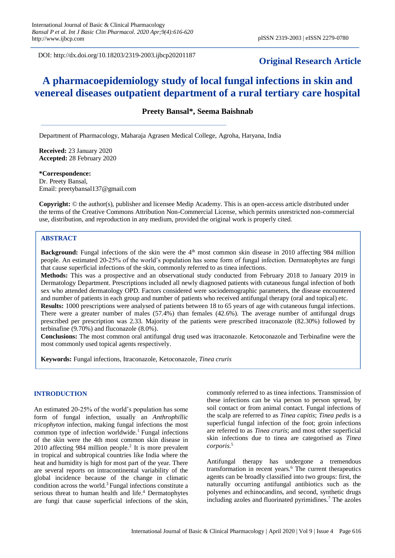DOI: http://dx.doi.org/10.18203/2319-2003.ijbcp20201187

## **Original Research Article**

# **A pharmacoepidemiology study of local fungal infections in skin and venereal diseases outpatient department of a rural tertiary care hospital**

**Preety Bansal\*, Seema Baishnab**

Department of Pharmacology, Maharaja Agrasen Medical College, Agroha, Haryana, India

**Received:** 23 January 2020 **Accepted:** 28 February 2020

## **\*Correspondence:**

Dr. Preety Bansal, Email: preetybansal137@gmail.com

**Copyright:** © the author(s), publisher and licensee Medip Academy. This is an open-access article distributed under the terms of the Creative Commons Attribution Non-Commercial License, which permits unrestricted non-commercial use, distribution, and reproduction in any medium, provided the original work is properly cited.

## **ABSTRACT**

**Background:** Fungal infections of the skin were the 4<sup>th</sup> most common skin disease in 2010 affecting 984 million people. An estimated 20-25% of the world's population has some form of fungal infection. Dermatophytes are fungi that cause superficial infections of the skin, commonly referred to as tinea infections.

**Methods:** This was a prospective and an observational study conducted from February 2018 to January 2019 in Dermatology Department. Prescriptions included all newly diagnosed patients with cutaneous fungal infection of both sex who attended dermatology OPD. Factors considered were sociodemographic parameters, the disease encountered and number of patients in each group and number of patients who received antifungal therapy (oral and topical) etc.

**Results:** 1000 prescriptions were analysed of patients between 18 to 65 years of age with cutaneous fungal infections. There were a greater number of males (57.4%) than females (42.6%). The average number of antifungal drugs prescribed per prescription was 2.33. Majority of the patients were prescribed itraconazole (82.30%) followed by terbinafine (9.70%) and fluconazole (8.0%).

**Conclusions:** The most common oral antifungal drug used was itraconazole. Ketoconazole and Terbinafine were the most commonly used topical agents respectively.

**Keywords:** Fungal infections, Itraconazole, Ketoconazole, *Tinea cruris*

#### **INTRODUCTION**

An estimated 20-25% of the world's population has some form of fungal infection, usually an *Anthrophillic tricophyton* infection, making fungal infections the most common type of infection worldwide.<sup>1</sup> Fungal infections of the skin were the 4th most common skin disease in 2010 affecting 984 million people.<sup>2</sup> It is more prevalent in tropical and subtropical countries like India where the heat and humidity is high for most part of the year. There are several reports on intracontinental variability of the global incidence because of the change in climatic condition across the world.<sup>3</sup> Fungal infections constitute a serious threat to human health and life.<sup>4</sup> Dermatophytes are fungi that cause superficial infections of the skin, commonly referred to as tinea infections. Transmission of these infections can be via person to person spread, by soil contact or from animal contact. Fungal infections of the scalp are referred to as *Tinea capitis*; *Tinea pedis* is a superficial fungal infection of the foot; groin infections are referred to as *Tinea cruris*; and most other superficial skin infections due to tinea are categorised as *Tinea corporis*. 5

Antifungal therapy has undergone a tremendous transformation in recent years.<sup>6</sup> The current therapeutics agents can be broadly classified into two groups: first, the naturally occurring antifungal antibiotics such as the polyenes and echinocandins, and second, synthetic drugs including azoles and fluorinated pyrimidines.<sup>7</sup> The azoles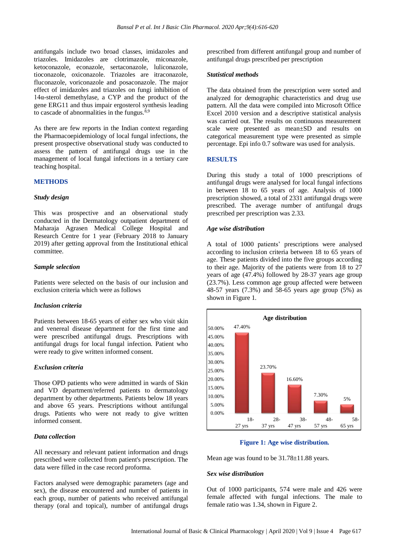antifungals include two broad classes, imidazoles and triazoles. Imidazoles are clotrimazole, miconazole, ketoconazole, econazole, sertaconazole, luliconazole, tioconazole, oxiconazole. Triazoles are itraconazole, fluconazole, voriconazole and posaconazole. The major effect of imidazoles and triazoles on fungi inhibition of 14α-sterol demethylase, a CYP and the product of the gene ERG11 and thus impair ergosterol synthesis leading to cascade of abnormalities in the fungus. $8,9$ 

As there are few reports in the Indian context regarding the Pharmacoepidemiology of local fungal infections, the present prospective observational study was conducted to assess the pattern of antifungal drugs use in the management of local fungal infections in a tertiary care teaching hospital.

#### **METHODS**

## *Study design*

This was prospective and an observational study conducted in the Dermatology outpatient department of Maharaja Agrasen Medical College Hospital and Research Centre for 1 year (February 2018 to January 2019) after getting approval from the Institutional ethical committee.

## *Sample selection*

Patients were selected on the basis of our inclusion and exclusion criteria which were as follows

#### *Inclusion criteria*

Patients between 18-65 years of either sex who visit skin and venereal disease department for the first time and were prescribed antifungal drugs. Prescriptions with antifungal drugs for local fungal infection. Patient who were ready to give written informed consent.

#### *Exclusion criteria*

Those OPD patients who were admitted in wards of Skin and VD department/referred patients to dermatology department by other departments. Patients below 18 years and above 65 years. Prescriptions without antifungal drugs. Patients who were not ready to give written informed consent.

#### *Data collection*

All necessary and relevant patient information and drugs prescribed were collected from patient's prescription. The data were filled in the case record proforma.

Factors analysed were demographic parameters (age and sex), the disease encountered and number of patients in each group, number of patients who received antifungal therapy (oral and topical), number of antifungal drugs prescribed from different antifungal group and number of antifungal drugs prescribed per prescription

#### *Statistical methods*

The data obtained from the prescription were sorted and analyzed for demographic characteristics and drug use pattern. All the data were compiled into Microsoft Office Excel 2010 version and a descriptive statistical analysis was carried out. The results on continuous measurement scale were presented as mean±SD and results on categorical measurement type were presented as simple percentage. Epi info 0.7 software was used for analysis.

## **RESULTS**

During this study a total of 1000 prescriptions of antifungal drugs were analysed for local fungal infections in between 18 to 65 years of age. Analysis of 1000 prescription showed, a total of 2331 antifungal drugs were prescribed. The average number of antifungal drugs prescribed per prescription was 2.33.

## *Age wise distribution*

A total of 1000 patients' prescriptions were analysed according to inclusion criteria between 18 to 65 years of age. These patients divided into the five groups according to their age. Majority of the patients were from 18 to 27 years of age (47.4%) followed by 28-37 years age group (23.7%). Less common age group affected were between 48-57 years (7.3%) and 58-65 years age group (5%) as shown in Figure 1.



## **Figure 1: Age wise distribution.**

Mean age was found to be 31.78±11.88 years.

#### *Sex wise distribution*

Out of 1000 participants, 574 were male and 426 were female affected with fungal infections. The male to female ratio was 1.34, shown in Figure 2.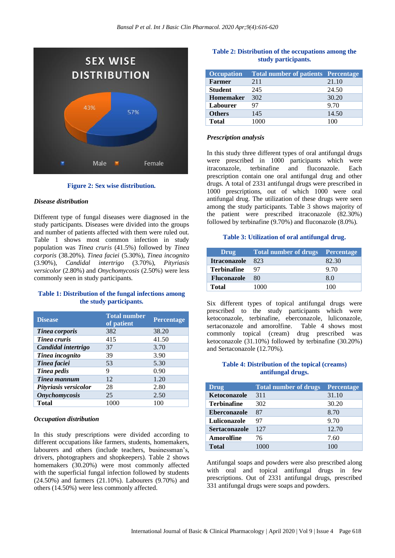

## **Figure 2: Sex wise distribution.**

## *Disease distribution*

Different type of fungal diseases were diagnosed in the study participants. Diseases were divided into the groups and number of patients affected with them were ruled out. Table 1 shows most common infection in study population was *Tinea cruris* (41.5%) followed by *Tinea corporis* (38.20%). *Tinea faciei* (5.30%), *Tinea incognito* (3.90%), *Candidal intertrigo* (3.70%), *Pityriasis versicolor* (2.80%) and *Onychomycosis* (2.50%) were less commonly seen in study participants.

## **Table 1: Distribution of the fungal infections among the study participants.**

| <b>Disease</b>        | <b>Total number</b><br>of patient | Percentage |
|-----------------------|-----------------------------------|------------|
| Tinea corporis        | 382                               | 38.20      |
| Tinea cruris          | 415                               | 41.50      |
| Candidal intertrigo   | 37                                | 3.70       |
| Tinea incognito       | 39                                | 3.90       |
| Tinea faciei          | 53                                | 5.30       |
| Tinea pedis           | 9                                 | 0.90       |
| Tinea mannum          | 12                                | 1.20       |
| Pityriasis versicolor | 28                                | 2.80       |
| <b>Onychomycosis</b>  | 25                                | 2.50       |
| <b>Total</b>          | 1000                              | 100        |

#### *Occupation distribution*

In this study prescriptions were divided according to different occupations like farmers, students, homemakers, labourers and others (include teachers, businessman's, drivers, photographers and shopkeepers). Table 2 shows homemakers (30.20%) were most commonly affected with the superficial fungal infection followed by students (24.50%) and farmers (21.10%). Labourers (9.70%) and others (14.50%) were less commonly affected.

## **Table 2: Distribution of the occupations among the study participants.**

| <b>Occupation</b> | <b>Total number of patients Percentage</b> |       |
|-------------------|--------------------------------------------|-------|
| <b>Farmer</b>     | 211                                        | 21.10 |
| <b>Student</b>    | 245                                        | 24.50 |
| <b>Homemaker</b>  | 302                                        | 30.20 |
| Labourer          | 97                                         | 9.70  |
| <b>Others</b>     | 145                                        | 14.50 |
| <b>Total</b>      | 1000                                       | 100   |

#### *Prescription analysis*

In this study three different types of oral antifungal drugs were prescribed in 1000 participants which were itraconazole, terbinafine and fluconazole. Each prescription contain one oral antifungal drug and other drugs. A total of 2331 antifungal drugs were prescribed in 1000 prescriptions, out of which 1000 were oral antifungal drug. The utilization of these drugs were seen among the study participants. Table 3 shows majority of the patient were prescribed itraconazole (82.30%) followed by terbinafine (9.70%) and fluconazole (8.0%).

## **Table 3: Utilization of oral antifungal drug.**

| Drug                    | <b>Total number of drugs</b> Percentage |       |
|-------------------------|-----------------------------------------|-------|
| <b>Itraconazole</b> 823 |                                         | 82.30 |
| <b>Terbinafine</b>      | - 97                                    | 9.70  |
| <b>Fluconazole</b>      | 80                                      | 8.0   |
| Total                   | 1000                                    |       |

Six different types of topical antifungal drugs were prescribed to the study participants which were ketoconazole, terbinafine, eberconazole, luliconazole, sertaconazole and amorolfine. Table 4 shows most commonly topical (cream) drug prescribed was ketoconazole (31.10%) followed by terbinafine (30.20%) and Sertaconazole (12.70%).

## **Table 4: Distribution of the topical (creams) antifungal drugs.**

| <b>Drug</b>          | <b>Total number of drugs</b> | <b>Percentage</b> |
|----------------------|------------------------------|-------------------|
| Ketoconazole         | 311                          | 31.10             |
| <b>Terbinafine</b>   | 302                          | 30.20             |
| <b>Eberconazole</b>  | 87                           | 8.70              |
| Luliconazole         | 97                           | 9.70              |
| <b>Sertaconazole</b> | 127                          | 12.70             |
| Amorolfine           | 76                           | 7.60              |
| <b>Total</b>         |                              |                   |

Antifungal soaps and powders were also prescribed along with oral and topical antifungal drugs in few prescriptions. Out of 2331 antifungal drugs, prescribed 331 antifungal drugs were soaps and powders.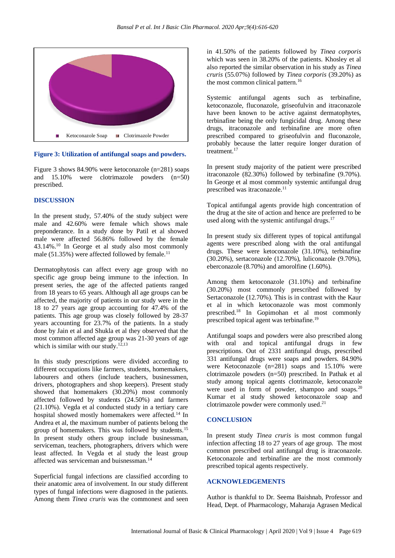

#### **Figure 3: Utilization of antifungal soaps and powders.**

Figure 3 shows 84.90% were ketoconazole (n=281) soaps and 15.10% were clotrimazole powders (n=50) prescribed.

#### **DISCUSSION**

In the present study, 57.40% of the study subject were male and 42.60% were female which shows male preponderance. In a study done by Patil et al showed male were affected 56.86% followed by the female 43.14%.<sup>10</sup> In George et al study also most commonly male (51.35%) were affected followed by female.<sup>11</sup>

Dermatophytosis can affect every age group with no specific age group being immune to the infection. In present series, the age of the affected patients ranged from 18 years to 65 years. Although all age groups can be affected, the majority of patients in our study were in the 18 to 27 years age group accounting for 47.4% of the patients. This age group was closely followed by 28-37 years accounting for 23.7% of the patients. In a study done by Jain et al and Shukla et al they observed that the most common affected age group was 21-30 years of age which is similar with our study.<sup>12,13</sup>

In this study prescriptions were divided according to different occupations like farmers, students, homemakers, labourers and others (include teachers, businessmen, drivers, photographers and shop keepers). Present study showed that homemakers (30.20%) most commonly affected followed by students (24.50%) and farmers (21.10%). Vegda et al conducted study in a tertiary care hospital showed mostly homemakers were affected.<sup>14</sup> In Andrea et al, the maximum number of patients belong the group of homemakers. This was followed by students.<sup>15</sup> In present study others group include businessman, serviceman, teachers, photographers, drivers which were least affected. In Vegda et al study the least group affected was serviceman and buisnessman.<sup>14</sup>

Superficial fungal infections are classified according to their anatomic area of involvement. In our study different types of fungal infections were diagnosed in the patients. Among them *Tinea cruris* was the commonest and seen in 41.50% of the patients followed by *Tinea corporis* which was seen in 38.20% of the patients. Khosley et al also reported the similar observation in his study as *Tinea cruris* (55.07%) followed by *Tinea corporis* (39.20%) as the most common clinical pattern.<sup>16</sup>

Systemic antifungal agents such as terbinafine, ketoconazole, fluconazole, griseofulvin and itraconazole have been known to be active against dermatophytes, terbinafine being the only fungicidal drug. Among these drugs, itraconazole and terbinafine are more often prescribed compared to griseofulvin and fluconazole, probably because the latter require longer duration of treatment.<sup>17</sup>

In present study majority of the patient were prescribed itraconazole (82.30%) followed by terbinafine (9.70%). In George et al most commonly systemic antifungal drug prescribed was itraconazole.<sup>11</sup>

Topical antifungal agents provide high concentration of the drug at the site of action and hence are preferred to be used along with the systemic antifungal drugs.<sup>17</sup>

In present study six different types of topical antifungal agents were prescribed along with the oral antifungal drugs. These were ketoconazole (31.10%), terbinafine (30.20%), sertaconazole (12.70%), luliconazole (9.70%), eberconazole (8.70%) and amorolfine (1.60%).

Among them ketoconazole (31.10%) and terbinafine (30.20%) most commonly prescribed followed by Sertaconazole (12.70%). This is in contrast with the Kaur et al in which ketoconazole was most commonly prescribed.<sup>18</sup> In Gopimohan et al most commonly prescribed topical agent was terbinafine.<sup>19</sup>

Antifungal soaps and powders were also prescribed along with oral and topical antifungal drugs in few prescriptions. Out of 2331 antifungal drugs, prescribed 331 antifungal drugs were soaps and powders. 84.90% were Ketoconazole (n=281) soaps and 15.10% were clotrimazole powders (n=50) prescribed. In Pathak et al study among topical agents clotrimazole, ketoconazole were used in form of powder, shampoo and soaps.<sup>20</sup> Kumar et al study showed ketoconazole soap and clotrimazole powder were commonly used.<sup>21</sup>

#### **CONCLUSION**

In present study *Tinea cruris* is most common fungal infection affecting 18 to 27 years of age group. The most common prescribed oral antifungal drug is itraconazole. Ketoconazole and terbinafine are the most commonly prescribed topical agents respectively.

## **ACKNOWLEDGEMENTS**

Author is thankful to Dr. Seema Baishnab, Professor and Head, Dept. of Pharmacology, Maharaja Agrasen Medical